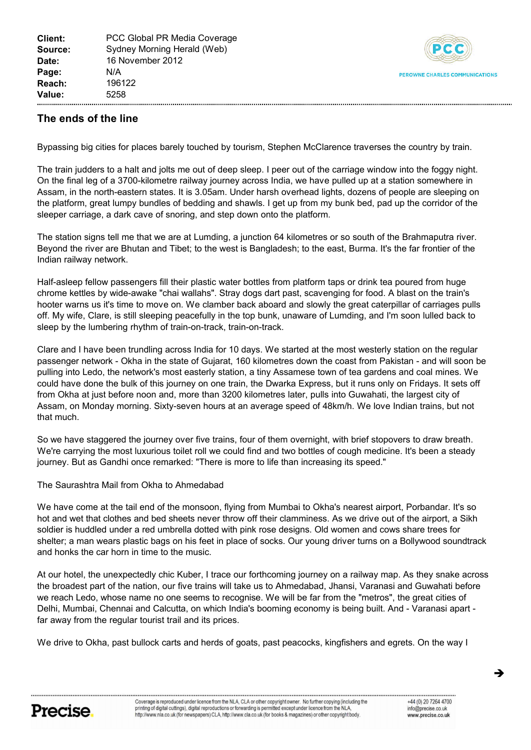

## **The ends ,f the line**

Bypassing big cities for places barely touched by tourism, Stephen McClarence traverses the country by train.

The train judders to a halt and jolts me out of deep sleep. I peer out of the carriage window into the foggy night. On the final leg of a 3700-kilometre railway journey across India, we have pulled up at a station somewhere in Assam, in the north-eastern states. It is 3.05am. Under harsh overhead lights, dozens of people are sleeping on the platform, great lumpy bundles of bedding and shawls. I get up from my bunk bed, pad up the corridor of the sleeper carriage, a dark cave of snoring, and step down onto the platform.

The station signs tell me that we are at Lumding, a junction 64 kilometres or so south of the Brahmaputra river. Beyond the river are Bhutan and Tibet; to the west is Bangladesh; to the east, Burma. It's the far frontier of the Indian railway network.

Half-asleep fellow passengers fill their plastic water bottles from platform taps or drink tea poured from huge chrome kettles by wide-awake "chai wallahs". Stray dogs dart past, scavenging for food. A blast on the train's hooter warns us it's time to move on. We clamber back aboard and slowly the great caterpillar of carriages pulls off. My wife, Clare, is still sleeping peacefully in the top bunk, unaware of Lumding, and I'm soon lulled back to sleep by the lumbering rhythm of train-on-track, train-on-track.

Clare and I have been trundling across India for 10 days. We started at the most westerly station on the regular passenger network - Okha in the state of Gujarat, 160 kilometres down the coast from Pakistan - and will soon be pulling into Ledo, the network's most easterly station, a tiny Assamese town of tea gardens and coal mines. We could have done the bulk of this journey on one train, the Dwarka Express, but it runs only on Fridays. It sets off from Okha at just before noon and, more than 3200 kilometres later, pulls into Guwahati, the largest city of Assam, on Monday morning. Sixty-seven hours at an average speed of 48km/h. We love Indian trains, but not that much.

So we have staggered the journey over five trains, four of them overnight, with brief stopovers to draw breath. We're carrying the most luxurious toilet roll we could find and two bottles of cough medicine. It's been a steady journey. But as Gandhi once remarked: "There is more to life than increasing its speed."

The Saurashtra Mail from Okha to Ahmedabad

We have come at the tail end of the monsoon, flying from Mumbai to Okha's nearest airport, Porbandar. It's so hot and wet that clothes and bed sheets never throw off their clamminess. As we drive out of the airport, a Sikh soldier is huddled under a red umbrella dotted with pink rose designs. Old women and cows share trees for shelter; a man wears plastic bags on his feet in place of socks. Our young driver turns on a Bollywood soundtrack and honks the car horn in time to the music.

At our hotel, the unexpectedly chic Kuber, I trace our forthcoming journey on a railway map. As they snake across the broadest part of the nation, our five trains will take us to Ahmedabad, Jhansi, Varanasi and Guwahati before we reach Ledo, whose name no one seems to recognise. We will be far from the "metros", the great cities of Delhi, Mumbai, Chennai and Calcutta, on which India's booming economy is being built. And - Varanasi apart far away from the regular tourist trail and its prices.

We drive to Okha, past bullock carts and herds of goats, past peacocks, kingfishers and egrets. On the way I

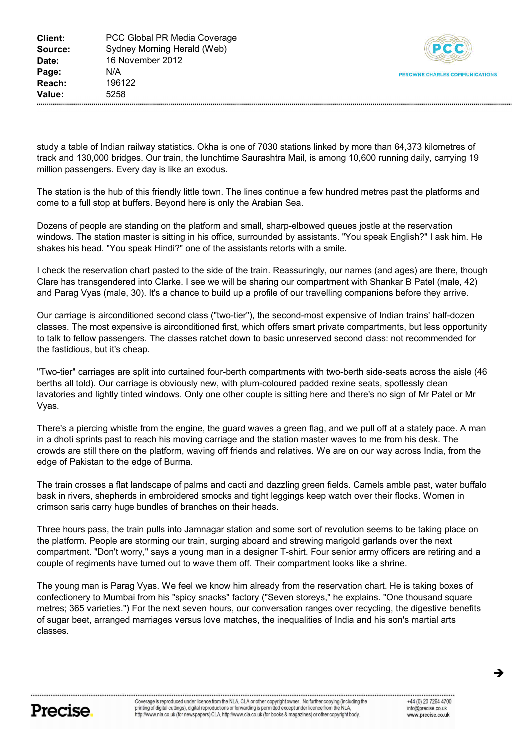

study a table of Indian railway statistics. Okha is one of 7030 stations linked by more than 64,373 kilometres of track and 130,000 bridges. Our train, the lunchtime Saurashtra Mail, is among 10,600 running daily, carrying 19 million passengers. Every day is like an exodus.

The station is the hub of this friendly little town. The lines continue a few hundred metres past the platforms and come to a full stop at buffers. Beyond here is only the Arabian Sea.

Dozens of people are standing on the platform and small, sharp-elbowed queues jostle at the reservation windows. The station master is sitting in his office, surrounded by assistants. "You speak English?" I ask him. He shakes his head. "You speak Hindi?" one of the assistants retorts with a smile.

I check the reservation chart pasted to the side of the train. Reassuringly, our names (and ages) are there, though Clare has transgendered into Clarke. I see we will be sharing our compartment with Shankar B Patel (male, 42) and Parag Vyas (male, 30). It's a chance to build up a profile of our travelling companions before they arrive.

Our carriage is airconditioned second class ("two-tier"), the second-most expensive of Indian trains' half-dozen classes. The most expensive is airconditioned first, which offers smart private compartments, but less opportunity to talk to fellow passengers. The classes ratchet down to basic unreserved second class: not recommended for the fastidious, but it's cheap.

"Two-tier" carriages are split into curtained four-berth compartments with two-berth side-seats across the aisle (46 berths all told). Our carriage is obviously new, with plum-coloured padded rexine seats, spotlessly clean lavatories and lightly tinted windows. Only one other couple is sitting here and there's no sign of Mr Patel or Mr Vyas.

There's a piercing whistle from the engine, the guard waves a green flag, and we pull off at a stately pace. A man in a dhoti sprints past to reach his moving carriage and the station master waves to me from his desk. The crowds are still there on the platform, waving off friends and relatives. We are on our way across India, from the edge of Pakistan to the edge of Burma.

The train crosses a flat landscape of palms and cacti and dazzling green fields. Camels amble past, water buffalo bask in rivers, shepherds in embroidered smocks and tight leggings keep watch over their flocks. Women in crimson saris carry huge bundles of branches on their heads.

Three hours pass, the train pulls into Jamnagar station and some sort of revolution seems to be taking place on the platform. People are storming our train, surging aboard and strewing marigold garlands over the next compartment. "Don't worry," says a young man in a designer T-shirt. Four senior army officers are retiring and a couple of regiments have turned out to wave them off. Their compartment looks like a shrine.

The young man is Parag Vyas. We feel we know him already from the reservation chart. He is taking boxes of confectionery to Mumbai from his "spicy snacks" factory ("Seven storeys," he explains. "One thousand square metres; 365 varieties.") For the next seven hours, our conversation ranges over recycling, the digestive benefits of sugar beet, arranged marriages versus love matches, the inequalities of India and his son's martial arts classes.



 $\rightarrow$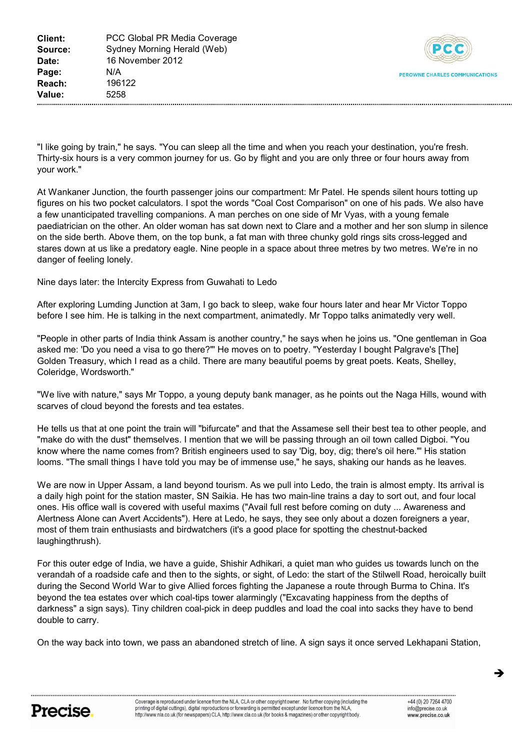

"I like going by train," he says. "You can sleep all the time and when you reach your destination, you're fresh. Thirty-six hours is a very common journey for us. Go by flight and you are only three or four hours away from vour work."

At Wankaner Junction, the fourth passenger joins our compartment: Mr Patel. He spends silent hours totting up figures on his two pocket calculators. I spot the words "Coal Cost Comparison" on one of his pads. We also have a few unanticipated travelling companions. A man perches on one side of Mr Vyas, with a young female paediatrician on the other. An older woman has sat down next to Clare and a mother and her son slump in silence .n the side berth. Above them, on the top bunk, a fat man with three chunky gold rings sits cross-legged and stares down at us like a predatory eagle. Nine people in a space about three metres by two metres. We're in no danger of feeling lonely.

Nine days later: the Intercity Express from Guwahati to Ledo.

After exploring Lumding Junction at 3am, I go back to sleep, wake four hours later and hear Mr Victor Toppo before I see him. He is talking in the next compartment, animatedly. Mr Toppo talks animatedly very well.

"People in other parts of India think Assam is another country," he says when he joins us. "One gentleman in Goa asked me: 'Do you need a visa to go there?"' He moves on to poetry. "Yesterday I bought Palgrave's [The] Golden Treasury, which I read as a child. There are many beautiful poems by great poets. Keats, Shelley, Coleridge, Wordsworth."

"We live with nature," says Mr Toppo, a young deputy bank manager, as he points out the Naga Hills, wound with scarves of cloud beyond the forests and tea estates.

He tells us that at one point the train will "bifurcate" and that the Assamese sell their best tea to other people, and "make do with the dust" themselves. I mention that we will be passing through an oil town called Digboi. "You know where the name comes from? British engineers used to say 'Dig, boy, dig; there's oil here."' His station looms. "The small things I have told you may be of immense use," he says, shaking our hands as he leaves.

We are now in Upper Assam, a land beyond tourism. As we pull into Ledo, the train is almost empty. Its arrival is a daily high point for the station master, SN Saikia. He has two main-line trains a day to sort out, and four local ones. His office wall is covered with useful maxims ("Avail full rest before coming on duty ... Awareness and Alertness Alone can Avert Accidents"). Here at Ledo, he says, they see only about a dozen foreigners a year, most of them train enthusiasts and birdwatchers (it's a good place for spotting the chestnut-backed laughingthrush).

For this outer edge of India, we have a guide, Shishir Adhikari, a quiet man who guides us towards lunch on the verandah of a roadside cafe and then to the sights, or sight, of Ledo: the start of the Stilwell Road, heroically built during the Second World War to give Allied forces fighting the Japanese a route through Burma to China. It's beyond the tea estates over which coal-tips tower alarmingly ("Excavating happiness from the depths of darkness" a sign says). Tiny children coal-pick in deep puddles and load the coal into sacks they have to bend double to carry.

On the way back into town, we pass an abandoned stretch of line. A sign says it once served Lekhapani Station,



è